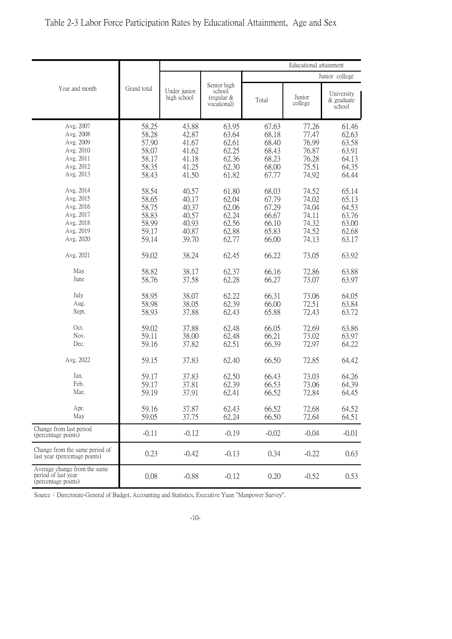| Table 2-3 Labor Force Participation Rates by Educational Attainment, Age and Sex |  |  |  |  |  |
|----------------------------------------------------------------------------------|--|--|--|--|--|
|----------------------------------------------------------------------------------|--|--|--|--|--|

|                                                                                                                   | Grand total                                                          | Educational attainment                                               |                                                                      |                                                                      |                                                                      |                                                                      |  |
|-------------------------------------------------------------------------------------------------------------------|----------------------------------------------------------------------|----------------------------------------------------------------------|----------------------------------------------------------------------|----------------------------------------------------------------------|----------------------------------------------------------------------|----------------------------------------------------------------------|--|
| Year and month                                                                                                    |                                                                      |                                                                      |                                                                      | Junior college                                                       |                                                                      |                                                                      |  |
|                                                                                                                   |                                                                      | Under junior<br>high school                                          | Senior high<br>school<br>(regular $&$<br>vocational)                 | Total                                                                | Junior<br>college                                                    | University<br>& graduate<br>school                                   |  |
| Avg. 2007<br>Avg. 2008<br>Avg. 2009<br>Avg. 2010<br>Avg. 2011<br>Avg. 2012<br>Avg. 2013<br>Avg. 2014<br>Avg. 2015 | 58.25<br>58.28<br>57.90<br>58.07<br>58.17<br>58.35<br>58.43<br>58.54 | 43.88<br>42.87<br>41.67<br>41.62<br>41.18<br>41.25<br>41.50<br>40.57 | 63.95<br>63.64<br>62.61<br>62.25<br>62.36<br>62.30<br>61.82<br>61.80 | 67.63<br>68.18<br>68.40<br>68.43<br>68.23<br>68.00<br>67.77<br>68.03 | 77.26<br>77.47<br>76.99<br>76.87<br>76.28<br>75.51<br>74.92<br>74.52 | 61.46<br>62.63<br>63.58<br>63.91<br>64.13<br>64.35<br>64.44<br>65.14 |  |
| Avg. 2016<br>Avg. 2017<br>Avg. 2018<br>Avg. 2019<br>Avg. 2020                                                     | 58.65<br>58.75<br>58.83<br>58.99<br>59.17<br>59.14                   | 40.17<br>40.37<br>40.57<br>40.93<br>40.87<br>39.70                   | 62.04<br>62.06<br>62.24<br>62.56<br>62.88<br>62.77                   | 67.79<br>67.29<br>66.67<br>66.10<br>65.83<br>66.00                   | 74.02<br>74.04<br>74.11<br>74.32<br>74.52<br>74.13                   | 65.13<br>64.53<br>63.76<br>63.00<br>62.68<br>63.17                   |  |
| Avg. 2021<br>May<br>June                                                                                          | 59.02<br>58.82<br>58.76                                              | 38.24<br>38.17<br>37.58                                              | 62.45<br>62.37<br>62.28                                              | 66.22<br>66.16<br>66.27                                              | 73.05<br>72.86<br>73.07                                              | 63.92<br>63.88<br>63.97                                              |  |
| July<br>Aug.<br>Sept.                                                                                             | 58.95<br>58.98<br>58.93                                              | 38.07<br>38.05<br>37.88                                              | 62.22<br>62.39<br>62.43                                              | 66.31<br>66.00<br>65.88                                              | 73.06<br>72.51<br>72.43                                              | 64.05<br>63.84<br>63.72                                              |  |
| Oct.<br>Nov.<br>Dec.                                                                                              | 59.02<br>59.11<br>59.16                                              | 37.88<br>38.00<br>37.82                                              | 62.48<br>62.48<br>62.51                                              | 66.05<br>66.21<br>66.39                                              | 72.69<br>73.02<br>72.97                                              | 63.86<br>63.97<br>64.22                                              |  |
| Avg. 2022                                                                                                         | 59.15                                                                | 37.83                                                                | 62.40                                                                | 66.50                                                                | 72.85                                                                | 64.42                                                                |  |
| Jan.<br>Feb.<br>Mar.                                                                                              | 59.17<br>59.17<br>59.19                                              | 37.83<br>37.81<br>37.91                                              | 62.50<br>62.39<br>62.41                                              | 66.43<br>66.53<br>66.52                                              | 73.03<br>73.06<br>72.84                                              | 64.26<br>64.39<br>64.45                                              |  |
| Apr.<br>May                                                                                                       | 59.16<br>59.05                                                       | 37.87<br>37.75                                                       | 62.43<br>62.24                                                       | 66.52<br>66.50                                                       | 72.68<br>72.64                                                       | 64.52<br>64.51                                                       |  |
| Change from last period<br>(percentage points)                                                                    | $-0.11$                                                              | $-0.12$                                                              | $-0.19$                                                              | $-0.02$                                                              | $-0.04$                                                              | $-0.01$                                                              |  |
| Change from the same period of<br>last year (percentage points)                                                   | 0.23                                                                 | $-0.42$                                                              | $-0.13$                                                              | 0.34                                                                 | $-0.22$                                                              | 0.63                                                                 |  |
| Average change from the same<br>period of last year<br>(percentage points)                                        | 0.08                                                                 | $-0.88$                                                              | $-0.12$                                                              | 0.20                                                                 | $-0.52$                                                              | 0.53                                                                 |  |

Source: Directorate-General of Budget, Accounting and Statistics, Executive Yuan "Manpower Survey".